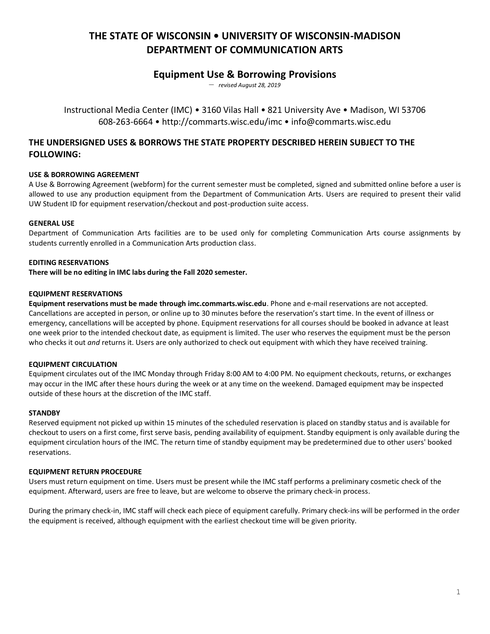# **THE STATE OF WISCONSIN • UNIVERSITY OF WISCONSIN-MADISON DEPARTMENT OF COMMUNICATION ARTS**

# **Equipment Use & Borrowing Provisions**

— *revised August 28, 2019*

Instructional Media Center (IMC) • 3160 Vilas Hall • 821 University Ave • Madison, WI 53706 608-263-6664 • http://commarts.wisc.edu/imc • info@commarts.wisc.edu

# **THE UNDERSIGNED USES & BORROWS THE STATE PROPERTY DESCRIBED HEREIN SUBJECT TO THE FOLLOWING:**

# **USE & BORROWING AGREEMENT**

A Use & Borrowing Agreement (webform) for the current semester must be completed, signed and submitted online before a user is allowed to use any production equipment from the Department of Communication Arts. Users are required to present their valid UW Student ID for equipment reservation/checkout and post-production suite access.

# **GENERAL USE**

Department of Communication Arts facilities are to be used only for completing Communication Arts course assignments by students currently enrolled in a Communication Arts production class.

#### **EDITING RESERVATIONS**

**There will be no editing in IMC labs during the Fall 2020 semester.**

#### **EQUIPMENT RESERVATIONS**

**Equipment reservations must be made through imc.commarts.wisc.edu**. Phone and e-mail reservations are not accepted. Cancellations are accepted in person, or online up to 30 minutes before the reservation's start time. In the event of illness or emergency, cancellations will be accepted by phone. Equipment reservations for all courses should be booked in advance at least one week prior to the intended checkout date, as equipment is limited. The user who reserves the equipment must be the person who checks it out *and* returns it. Users are only authorized to check out equipment with which they have received training.

# **EQUIPMENT CIRCULATION**

Equipment circulates out of the IMC Monday through Friday 8:00 AM to 4:00 PM. No equipment checkouts, returns, or exchanges may occur in the IMC after these hours during the week or at any time on the weekend. Damaged equipment may be inspected outside of these hours at the discretion of the IMC staff.

#### **STANDBY**

Reserved equipment not picked up within 15 minutes of the scheduled reservation is placed on standby status and is available for checkout to users on a first come, first serve basis, pending availability of equipment. Standby equipment is only available during the equipment circulation hours of the IMC. The return time of standby equipment may be predetermined due to other users' booked reservations.

# **EQUIPMENT RETURN PROCEDURE**

Users must return equipment on time. Users must be present while the IMC staff performs a preliminary cosmetic check of the equipment. Afterward, users are free to leave, but are welcome to observe the primary check-in process.

During the primary check-in, IMC staff will check each piece of equipment carefully. Primary check-ins will be performed in the order the equipment is received, although equipment with the earliest checkout time will be given priority.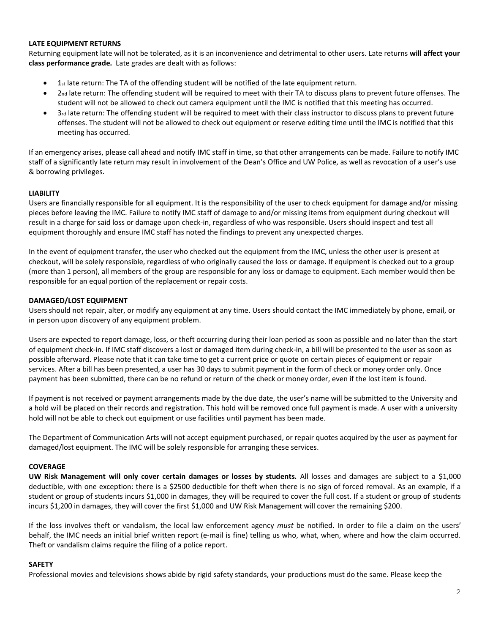# **LATE EQUIPMENT RETURNS**

Returning equipment late will not be tolerated, as it is an inconvenience and detrimental to other users. Late returns **will affect your class performance grade.** Late grades are dealt with as follows:

- 1st late return: The TA of the offending student will be notified of the late equipment return.
- 2nd late return: The offending student will be required to meet with their TA to discuss plans to prevent future offenses. The student will not be allowed to check out camera equipment until the IMC is notified that this meeting has occurred.
- 3rd late return: The offending student will be required to meet with their class instructor to discuss plans to prevent future offenses. The student will not be allowed to check out equipment or reserve editing time until the IMC is notified that this meeting has occurred.

If an emergency arises, please call ahead and notify IMC staff in time, so that other arrangements can be made. Failure to notify IMC staff of a significantly late return may result in involvement of the Dean's Office and UW Police, as well as revocation of a user's use & borrowing privileges.

# **LIABILITY**

Users are financially responsible for all equipment. It is the responsibility of the user to check equipment for damage and/or missing pieces before leaving the IMC. Failure to notify IMC staff of damage to and/or missing items from equipment during checkout will result in a charge for said loss or damage upon check-in, regardless of who was responsible. Users should inspect and test all equipment thoroughly and ensure IMC staff has noted the findings to prevent any unexpected charges.

In the event of equipment transfer, the user who checked out the equipment from the IMC, unless the other user is present at checkout, will be solely responsible, regardless of who originally caused the loss or damage. If equipment is checked out to a group (more than 1 person), all members of the group are responsible for any loss or damage to equipment. Each member would then be responsible for an equal portion of the replacement or repair costs.

# **DAMAGED/LOST EQUIPMENT**

Users should not repair, alter, or modify any equipment at any time. Users should contact the IMC immediately by phone, email, or in person upon discovery of any equipment problem.

Users are expected to report damage, loss, or theft occurring during their loan period as soon as possible and no later than the start of equipment check-in. If IMC staff discovers a lost or damaged item during check-in, a bill will be presented to the user as soon as possible afterward. Please note that it can take time to get a current price or quote on certain pieces of equipment or repair services. After a bill has been presented, a user has 30 days to submit payment in the form of check or money order only. Once payment has been submitted, there can be no refund or return of the check or money order, even if the lost item is found.

If payment is not received or payment arrangements made by the due date, the user's name will be submitted to the University and a hold will be placed on their records and registration. This hold will be removed once full payment is made. A user with a university hold will not be able to check out equipment or use facilities until payment has been made.

The Department of Communication Arts will not accept equipment purchased, or repair quotes acquired by the user as payment for damaged/lost equipment. The IMC will be solely responsible for arranging these services.

# **COVERAGE**

**UW Risk Management will only cover certain damages or losses by students.** All losses and damages are subject to a \$1,000 deductible, with one exception: there is a \$2500 deductible for theft when there is no sign of forced removal. As an example, if a student or group of students incurs \$1,000 in damages, they will be required to cover the full cost. If a student or group of students incurs \$1,200 in damages, they will cover the first \$1,000 and UW Risk Management will cover the remaining \$200.

If the loss involves theft or vandalism, the local law enforcement agency *must* be notified. In order to file a claim on the users' behalf, the IMC needs an initial brief written report (e-mail is fine) telling us who, what, when, where and how the claim occurred. Theft or vandalism claims require the filing of a police report.

# **SAFETY**

Professional movies and televisions shows abide by rigid safety standards, your productions must do the same. Please keep the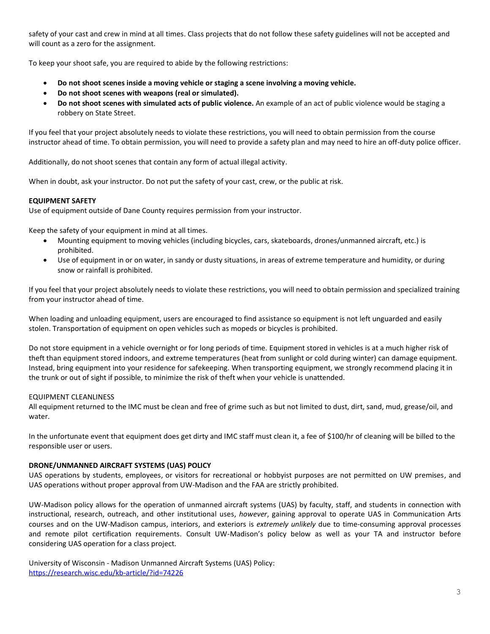safety of your cast and crew in mind at all times. Class projects that do not follow these safety guidelines will not be accepted and will count as a zero for the assignment.

To keep your shoot safe, you are required to abide by the following restrictions:

- **Do not shoot scenes inside a moving vehicle or staging a scene involving a moving vehicle.**
- **Do not shoot scenes with weapons (real or simulated).**
- **Do not shoot scenes with simulated acts of public violence.** An example of an act of public violence would be staging a robbery on State Street.

If you feel that your project absolutely needs to violate these restrictions, you will need to obtain permission from the course instructor ahead of time. To obtain permission, you will need to provide a safety plan and may need to hire an off-duty police officer.

Additionally, do not shoot scenes that contain any form of actual illegal activity.

When in doubt, ask your instructor. Do not put the safety of your cast, crew, or the public at risk.

#### **EQUIPMENT SAFETY**

Use of equipment outside of Dane County requires permission from your instructor.

Keep the safety of your equipment in mind at all times.

- Mounting equipment to moving vehicles (including bicycles, cars, skateboards, drones/unmanned aircraft, etc.) is prohibited.
- Use of equipment in or on water, in sandy or dusty situations, in areas of extreme temperature and humidity, or during snow or rainfall is prohibited.

If you feel that your project absolutely needs to violate these restrictions, you will need to obtain permission and specialized training from your instructor ahead of time.

When loading and unloading equipment, users are encouraged to find assistance so equipment is not left unguarded and easily stolen. Transportation of equipment on open vehicles such as mopeds or bicycles is prohibited.

Do not store equipment in a vehicle overnight or for long periods of time. Equipment stored in vehicles is at a much higher risk of theft than equipment stored indoors, and extreme temperatures (heat from sunlight or cold during winter) can damage equipment. Instead, bring equipment into your residence for safekeeping. When transporting equipment, we strongly recommend placing it in the trunk or out of sight if possible, to minimize the risk of theft when your vehicle is unattended.

#### EQUIPMENT CLEANLINESS

All equipment returned to the IMC must be clean and free of grime such as but not limited to dust, dirt, sand, mud, grease/oil, and water.

In the unfortunate event that equipment does get dirty and IMC staff must clean it, a fee of \$100/hr of cleaning will be billed to the responsible user or users.

#### **DRONE/UNMANNED AIRCRAFT SYSTEMS (UAS) POLICY**

UAS operations by students, employees, or visitors for recreational or hobbyist purposes are not permitted on UW premises, and UAS operations without proper approval from UW-Madison and the FAA are strictly prohibited.

UW-Madison policy allows for the operation of unmanned aircraft systems (UAS) by faculty, staff, and students in connection with instructional, research, outreach, and other institutional uses, *however*, gaining approval to operate UAS in Communication Arts courses and on the UW-Madison campus, interiors, and exteriors is *extremely unlikely* due to time-consuming approval processes and remote pilot certification requirements. Consult UW-Madison's policy below as well as your TA and instructor before considering UAS operation for a class project.

University of Wisconsin - Madison Unmanned Aircraft Systems (UAS) Policy: <https://research.wisc.edu/kb-article/?id=74226>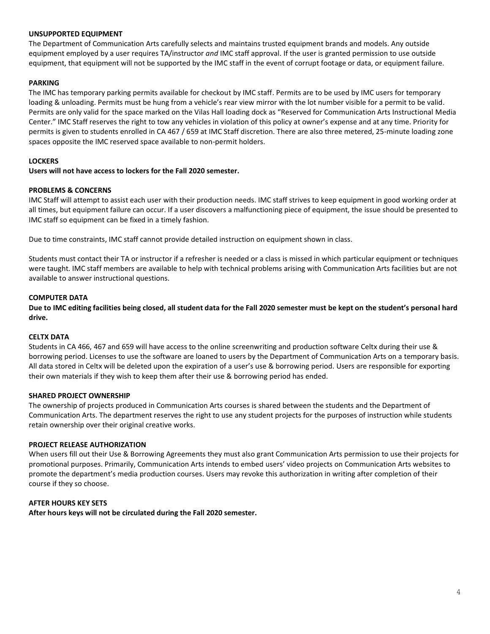#### **UNSUPPORTED EQUIPMENT**

The Department of Communication Arts carefully selects and maintains trusted equipment brands and models. Any outside equipment employed by a user requires TA/instructor *and* IMC staff approval. If the user is granted permission to use outside equipment, that equipment will not be supported by the IMC staff in the event of corrupt footage or data, or equipment failure.

### **PARKING**

The IMC has temporary parking permits available for checkout by IMC staff. Permits are to be used by IMC users for temporary loading & unloading. Permits must be hung from a vehicle's rear view mirror with the lot number visible for a permit to be valid. Permits are only valid for the space marked on the Vilas Hall loading dock as "Reserved for Communication Arts Instructional Media Center." IMC Staff reserves the right to tow any vehicles in violation of this policy at owner's expense and at any time. Priority for permits is given to students enrolled in CA 467 / 659 at IMC Staff discretion. There are also three metered, 25-minute loading zone spaces opposite the IMC reserved space available to non-permit holders.

#### **LOCKERS**

#### **Users will not have access to lockers for the Fall 2020 semester.**

#### **PROBLEMS & CONCERNS**

IMC Staff will attempt to assist each user with their production needs. IMC staff strives to keep equipment in good working order at all times, but equipment failure can occur. If a user discovers a malfunctioning piece of equipment, the issue should be presented to IMC staff so equipment can be fixed in a timely fashion.

Due to time constraints, IMC staff cannot provide detailed instruction on equipment shown in class.

Students must contact their TA or instructor if a refresher is needed or a class is missed in which particular equipment or techniques were taught. IMC staff members are available to help with technical problems arising with Communication Arts facilities but are not available to answer instructional questions.

#### **COMPUTER DATA**

**Due to IMC editing facilities being closed, all student data for the Fall 2020 semester must be kept on the student's personal hard drive.**

#### **CELTX DATA**

Students in CA 466, 467 and 659 will have access to the online screenwriting and production software Celtx during their use & borrowing period. Licenses to use the software are loaned to users by the Department of Communication Arts on a temporary basis. All data stored in Celtx will be deleted upon the expiration of a user's use & borrowing period. Users are responsible for exporting their own materials if they wish to keep them after their use & borrowing period has ended.

#### **SHARED PROJECT OWNERSHIP**

The ownership of projects produced in Communication Arts courses is shared between the students and the Department of Communication Arts. The department reserves the right to use any student projects for the purposes of instruction while students retain ownership over their original creative works.

#### **PROJECT RELEASE AUTHORIZATION**

When users fill out their Use & Borrowing Agreements they must also grant Communication Arts permission to use their projects for promotional purposes. Primarily, Communication Arts intends to embed users' video projects on Communication Arts websites to promote the department's media production courses. Users may revoke this authorization in writing after completion of their course if they so choose.

# **AFTER HOURS KEY SETS**

**After hours keys will not be circulated during the Fall 2020 semester.**